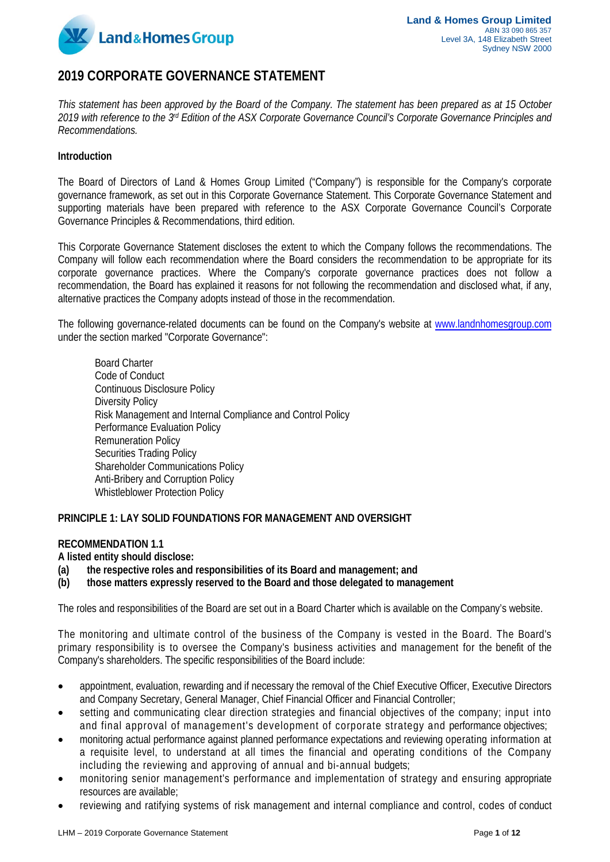

# **2019 CORPORATE GOVERNANCE STATEMENT**

*This statement has been approved by the Board of the Company. The statement has been prepared as at 15 October 2019 with reference to the 3rd Edition of the ASX Corporate Governance Council's Corporate Governance Principles and Recommendations.*

#### **Introduction**

The Board of Directors of Land & Homes Group Limited ("Company") is responsible for the Company's corporate governance framework, as set out in this Corporate Governance Statement. This Corporate Governance Statement and supporting materials have been prepared with reference to the ASX Corporate Governance Council's Corporate Governance Principles & Recommendations, third edition.

This Corporate Governance Statement discloses the extent to which the Company follows the recommendations. The Company will follow each recommendation where the Board considers the recommendation to be appropriate for its corporate governance practices. Where the Company's corporate governance practices does not follow a recommendation, the Board has explained it reasons for not following the recommendation and disclosed what, if any, alternative practices the Company adopts instead of those in the recommendation.

The following governance-related documents can be found on the Company's website at [www.landnhomesgroup.com](http://www.landnhomesgroup.com/) under the section marked "Corporate Governance":

Board Charter Code of Conduct Continuous Disclosure Policy Diversity Policy Risk Management and Internal Compliance and Control Policy Performance Evaluation Policy Remuneration Policy Securities Trading Policy Shareholder Communications Policy Anti-Bribery and Corruption Policy Whistleblower Protection Policy

#### **PRINCIPLE 1: LAY SOLID FOUNDATIONS FOR MANAGEMENT AND OVERSIGHT**

# **RECOMMENDATION 1.1**

**A listed entity should disclose:**

- **(a) the respective roles and responsibilities of its Board and management; and**
- **(b) those matters expressly reserved to the Board and those delegated to management**

The roles and responsibilities of the Board are set out in a Board Charter which is available on the Company's website.

The monitoring and ultimate control of the business of the Company is vested in the Board. The Board's primary responsibility is to oversee the Company's business activities and management for the benefit of the Company's shareholders. The specific responsibilities of the Board include:

- appointment, evaluation, rewarding and if necessary the removal of the Chief Executive Officer, Executive Directors and Company Secretary, General Manager, Chief Financial Officer and Financial Controller;
- setting and communicating clear direction strategies and financial objectives of the company; input into and final approval of management's development of corporate strategy and performance objectives;
- monitoring actual performance against planned performance expectations and reviewing operating information at a requisite level, to understand at all times the financial and operating conditions of the Company including the reviewing and approving of annual and bi-annual budgets;
- monitoring senior management's performance and implementation of strategy and ensuring appropriate resources are available;
- reviewing and ratifying systems of risk management and internal compliance and control, codes of conduct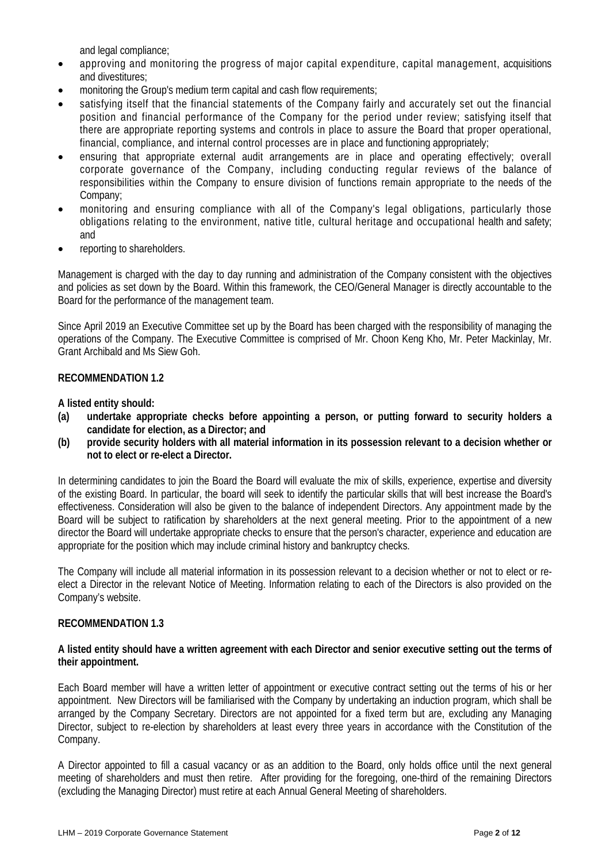and legal compliance;

- approving and monitoring the progress of major capital expenditure, capital management, acquisitions and divestitures;
- monitoring the Group's medium term capital and cash flow requirements;
- satisfying itself that the financial statements of the Company fairly and accurately set out the financial position and financial performance of the Company for the period under review; satisfying itself that there are appropriate reporting systems and controls in place to assure the Board that proper operational, financial, compliance, and internal control processes are in place and functioning appropriately;
- ensuring that appropriate external audit arrangements are in place and operating effectively; overall corporate governance of the Company, including conducting regular reviews of the balance of responsibilities within the Company to ensure division of functions remain appropriate to the needs of the Company;
- monitoring and ensuring compliance with all of the Company's legal obligations, particularly those obligations relating to the environment, native title, cultural heritage and occupational health and safety; and
- reporting to shareholders.

Management is charged with the day to day running and administration of the Company consistent with the objectives and policies as set down by the Board. Within this framework, the CEO/General Manager is directly accountable to the Board for the performance of the management team.

Since April 2019 an Executive Committee set up by the Board has been charged with the responsibility of managing the operations of the Company. The Executive Committee is comprised of Mr. Choon Keng Kho, Mr. Peter Mackinlay, Mr. Grant Archibald and Ms Siew Goh.

# **RECOMMENDATION 1.2**

**A listed entity should:**

- **(a) undertake appropriate checks before appointing a person, or putting forward to security holders a candidate for election, as a Director; and**
- **(b) provide security holders with all material information in its possession relevant to a decision whether or not to elect or re-elect a Director.**

In determining candidates to join the Board the Board will evaluate the mix of skills, experience, expertise and diversity of the existing Board. In particular, the board will seek to identify the particular skills that will best increase the Board's effectiveness. Consideration will also be given to the balance of independent Directors. Any appointment made by the Board will be subject to ratification by shareholders at the next general meeting. Prior to the appointment of a new director the Board will undertake appropriate checks to ensure that the person's character, experience and education are appropriate for the position which may include criminal history and bankruptcy checks.

The Company will include all material information in its possession relevant to a decision whether or not to elect or reelect a Director in the relevant Notice of Meeting. Information relating to each of the Directors is also provided on the Company's website.

#### **RECOMMENDATION 1.3**

#### **A listed entity should have a written agreement with each Director and senior executive setting out the terms of their appointment.**

Each Board member will have a written letter of appointment or executive contract setting out the terms of his or her appointment. New Directors will be familiarised with the Company by undertaking an induction program, which shall be arranged by the Company Secretary. Directors are not appointed for a fixed term but are, excluding any Managing Director, subject to re-election by shareholders at least every three years in accordance with the Constitution of the Company.

A Director appointed to fill a casual vacancy or as an addition to the Board, only holds office until the next general meeting of shareholders and must then retire. After providing for the foregoing, one-third of the remaining Directors (excluding the Managing Director) must retire at each Annual General Meeting of shareholders.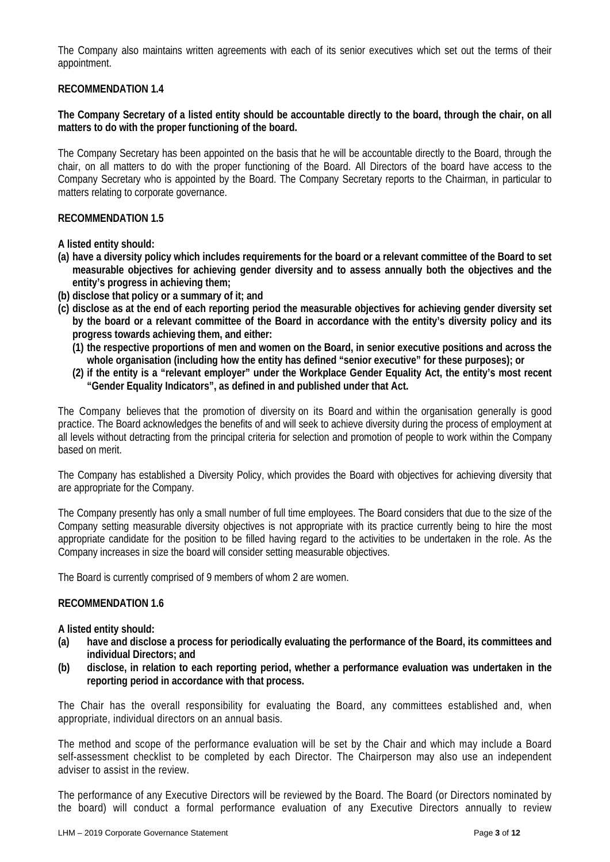The Company also maintains written agreements with each of its senior executives which set out the terms of their appointment.

# **RECOMMENDATION 1.4**

**The Company Secretary of a listed entity should be accountable directly to the board, through the chair, on all matters to do with the proper functioning of the board.**

The Company Secretary has been appointed on the basis that he will be accountable directly to the Board, through the chair, on all matters to do with the proper functioning of the Board. All Directors of the board have access to the Company Secretary who is appointed by the Board. The Company Secretary reports to the Chairman, in particular to matters relating to corporate governance.

#### **RECOMMENDATION 1.5**

**A listed entity should:**

- **(a) have a diversity policy which includes requirements for the board or a relevant committee of the Board to set measurable objectives for achieving gender diversity and to assess annually both the objectives and the entity's progress in achieving them;**
- **(b) disclose that policy or a summary of it; and**
- **(c) disclose as at the end of each reporting period the measurable objectives for achieving gender diversity set by the board or a relevant committee of the Board in accordance with the entity's diversity policy and its progress towards achieving them, and either:**
	- **(1) the respective proportions of men and women on the Board, in senior executive positions and across the whole organisation (including how the entity has defined "senior executive" for these purposes); or**
	- **(2) if the entity is a "relevant employer" under the Workplace Gender Equality Act, the entity's most recent "Gender Equality Indicators", as defined in and published under that Act.**

The Company believes that the promotion of diversity on its Board and within the organisation generally is good practice. The Board acknowledges the benefits of and will seek to achieve diversity during the process of employment at all levels without detracting from the principal criteria for selection and promotion of people to work within the Company based on merit.

The Company has established a Diversity Policy, which provides the Board with objectives for achieving diversity that are appropriate for the Company.

The Company presently has only a small number of full time employees. The Board considers that due to the size of the Company setting measurable diversity objectives is not appropriate with its practice currently being to hire the most appropriate candidate for the position to be filled having regard to the activities to be undertaken in the role. As the Company increases in size the board will consider setting measurable objectives.

The Board is currently comprised of 9 members of whom 2 are women.

#### **RECOMMENDATION 1.6**

**A listed entity should:**

- **(a) have and disclose a process for periodically evaluating the performance of the Board, its committees and individual Directors; and**
- **(b) disclose, in relation to each reporting period, whether a performance evaluation was undertaken in the reporting period in accordance with that process.**

The Chair has the overall responsibility for evaluating the Board, any committees established and, when appropriate, individual directors on an annual basis.

The method and scope of the performance evaluation will be set by the Chair and which may include a Board self-assessment checklist to be completed by each Director. The Chairperson may also use an independent adviser to assist in the review.

The performance of any Executive Directors will be reviewed by the Board. The Board (or Directors nominated by the board) will conduct a formal performance evaluation of any Executive Directors annually to review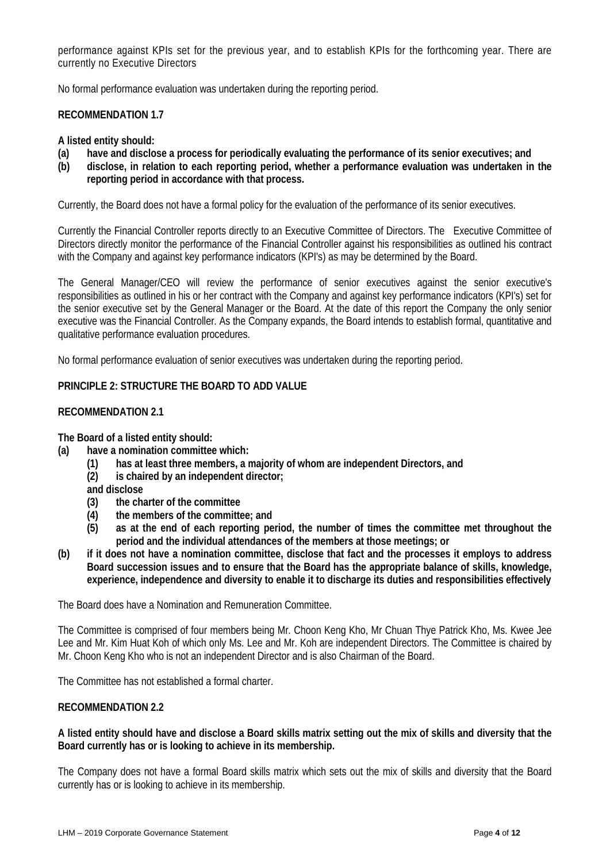performance against KPIs set for the previous year, and to establish KPIs for the forthcoming year. There are currently no Executive Directors

No formal performance evaluation was undertaken during the reporting period.

#### **RECOMMENDATION 1.7**

#### **A listed entity should:**

- **(a) have and disclose a process for periodically evaluating the performance of its senior executives; and**
- **(b) disclose, in relation to each reporting period, whether a performance evaluation was undertaken in the reporting period in accordance with that process.**

Currently, the Board does not have a formal policy for the evaluation of the performance of its senior executives.

Currently the Financial Controller reports directly to an Executive Committee of Directors. The Executive Committee of Directors directly monitor the performance of the Financial Controller against his responsibilities as outlined his contract with the Company and against key performance indicators (KPI's) as may be determined by the Board.

The General Manager/CEO will review the performance of senior executives against the senior executive's responsibilities as outlined in his or her contract with the Company and against key performance indicators (KPI's) set for the senior executive set by the General Manager or the Board. At the date of this report the Company the only senior executive was the Financial Controller. As the Company expands, the Board intends to establish formal, quantitative and qualitative performance evaluation procedures.

No formal performance evaluation of senior executives was undertaken during the reporting period.

# **PRINCIPLE 2: STRUCTURE THE BOARD TO ADD VALUE**

# **RECOMMENDATION 2.1**

**The Board of a listed entity should:**

- **(a) have a nomination committee which:**
	- **(1) has at least three members, a majority of whom are independent Directors, and**
	- **(2) is chaired by an independent director;**

**and disclose**

- **(3) the charter of the committee**
- **(4) the members of the committee; and**
- **(5) as at the end of each reporting period, the number of times the committee met throughout the period and the individual attendances of the members at those meetings; or**
- **(b) if it does not have a nomination committee, disclose that fact and the processes it employs to address Board succession issues and to ensure that the Board has the appropriate balance of skills, knowledge, experience, independence and diversity to enable it to discharge its duties and responsibilities effectively**

The Board does have a Nomination and Remuneration Committee.

The Committee is comprised of four members being Mr. Choon Keng Kho, Mr Chuan Thye Patrick Kho, Ms. Kwee Jee Lee and Mr. Kim Huat Koh of which only Ms. Lee and Mr. Koh are independent Directors. The Committee is chaired by Mr. Choon Keng Kho who is not an independent Director and is also Chairman of the Board.

The Committee has not established a formal charter.

#### **RECOMMENDATION 2.2**

**A listed entity should have and disclose a Board skills matrix setting out the mix of skills and diversity that the Board currently has or is looking to achieve in its membership.**

The Company does not have a formal Board skills matrix which sets out the mix of skills and diversity that the Board currently has or is looking to achieve in its membership.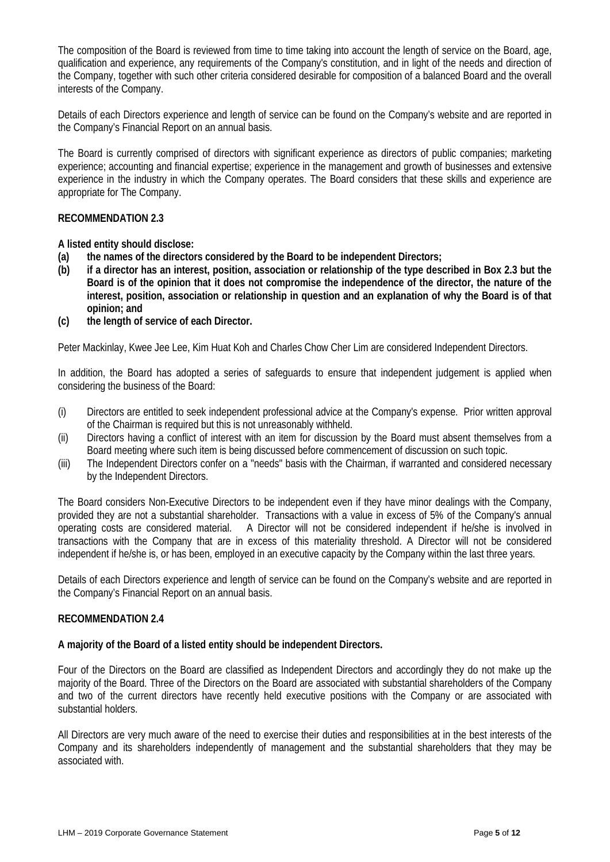The composition of the Board is reviewed from time to time taking into account the length of service on the Board, age, qualification and experience, any requirements of the Company's constitution, and in light of the needs and direction of the Company, together with such other criteria considered desirable for composition of a balanced Board and the overall interests of the Company.

Details of each Directors experience and length of service can be found on the Company's website and are reported in the Company's Financial Report on an annual basis.

The Board is currently comprised of directors with significant experience as directors of public companies; marketing experience; accounting and financial expertise; experience in the management and growth of businesses and extensive experience in the industry in which the Company operates. The Board considers that these skills and experience are appropriate for The Company.

# **RECOMMENDATION 2.3**

**A listed entity should disclose:**

- **(a) the names of the directors considered by the Board to be independent Directors;**
- **(b) if a director has an interest, position, association or relationship of the type described in Box 2.3 but the Board is of the opinion that it does not compromise the independence of the director, the nature of the interest, position, association or relationship in question and an explanation of why the Board is of that opinion; and**
- **(c) the length of service of each Director.**

Peter Mackinlay, Kwee Jee Lee, Kim Huat Koh and Charles Chow Cher Lim are considered Independent Directors.

In addition, the Board has adopted a series of safeguards to ensure that independent judgement is applied when considering the business of the Board:

- (i) Directors are entitled to seek independent professional advice at the Company's expense. Prior written approval of the Chairman is required but this is not unreasonably withheld.
- (ii) Directors having a conflict of interest with an item for discussion by the Board must absent themselves from a Board meeting where such item is being discussed before commencement of discussion on such topic.
- (iii) The Independent Directors confer on a "needs" basis with the Chairman, if warranted and considered necessary by the Independent Directors.

The Board considers Non-Executive Directors to be independent even if they have minor dealings with the Company, provided they are not a substantial shareholder. Transactions with a value in excess of 5% of the Company's annual operating costs are considered material. A Director will not be considered independent if he/she is involved in transactions with the Company that are in excess of this materiality threshold. A Director will not be considered independent if he/she is, or has been, employed in an executive capacity by the Company within the last three years.

Details of each Directors experience and length of service can be found on the Company's website and are reported in the Company's Financial Report on an annual basis.

#### **RECOMMENDATION 2.4**

#### **A majority of the Board of a listed entity should be independent Directors.**

Four of the Directors on the Board are classified as Independent Directors and accordingly they do not make up the majority of the Board. Three of the Directors on the Board are associated with substantial shareholders of the Company and two of the current directors have recently held executive positions with the Company or are associated with substantial holders.

All Directors are very much aware of the need to exercise their duties and responsibilities at in the best interests of the Company and its shareholders independently of management and the substantial shareholders that they may be associated with.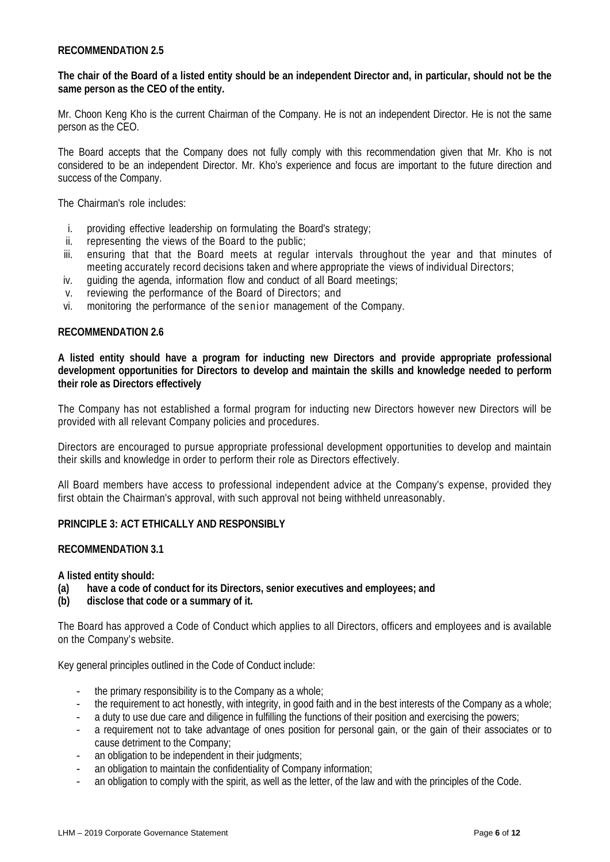#### **RECOMMENDATION 2.5**

# **The chair of the Board of a listed entity should be an independent Director and, in particular, should not be the same person as the CEO of the entity.**

Mr. Choon Keng Kho is the current Chairman of the Company. He is not an independent Director. He is not the same person as the CEO.

The Board accepts that the Company does not fully comply with this recommendation given that Mr. Kho is not considered to be an independent Director. Mr. Kho's experience and focus are important to the future direction and success of the Company.

The Chairman's role includes:

- i. providing effective leadership on formulating the Board's strategy;
- ii. representing the views of the Board to the public;<br>iii. ensuring that that the Board meets at requiar
- ensuring that that the Board meets at regular intervals throughout the year and that minutes of meeting accurately record decisions taken and where appropriate the views of individual Directors;
- iv. guiding the agenda, information flow and conduct of all Board meetings;
- v. reviewing the performance of the Board of Directors; and
- vi. monitoring the performance of the senior management of the Company.

# **RECOMMENDATION 2.6**

**A listed entity should have a program for inducting new Directors and provide appropriate professional development opportunities for Directors to develop and maintain the skills and knowledge needed to perform their role as Directors effectively**

The Company has not established a formal program for inducting new Directors however new Directors will be provided with all relevant Company policies and procedures.

Directors are encouraged to pursue appropriate professional development opportunities to develop and maintain their skills and knowledge in order to perform their role as Directors effectively.

All Board members have access to professional independent advice at the Company's expense, provided they first obtain the Chairman's approval, with such approval not being withheld unreasonably.

#### **PRINCIPLE 3: ACT ETHICALLY AND RESPONSIBLY**

#### **RECOMMENDATION 3.1**

**A listed entity should:**

- **(a) have a code of conduct for its Directors, senior executives and employees; and**
- **(b) disclose that code or a summary of it.**

The Board has approved a Code of Conduct which applies to all Directors, officers and employees and is available on the Company's website.

Key general principles outlined in the Code of Conduct include:

- the primary responsibility is to the Company as a whole;
- the requirement to act honestly, with integrity, in good faith and in the best interests of the Company as a whole;
- a duty to use due care and diligence in fulfilling the functions of their position and exercising the powers;
- a requirement not to take advantage of ones position for personal gain, or the gain of their associates or to cause detriment to the Company;
- an obligation to be independent in their judgments;
- an obligation to maintain the confidentiality of Company information;
- an obligation to comply with the spirit, as well as the letter, of the law and with the principles of the Code.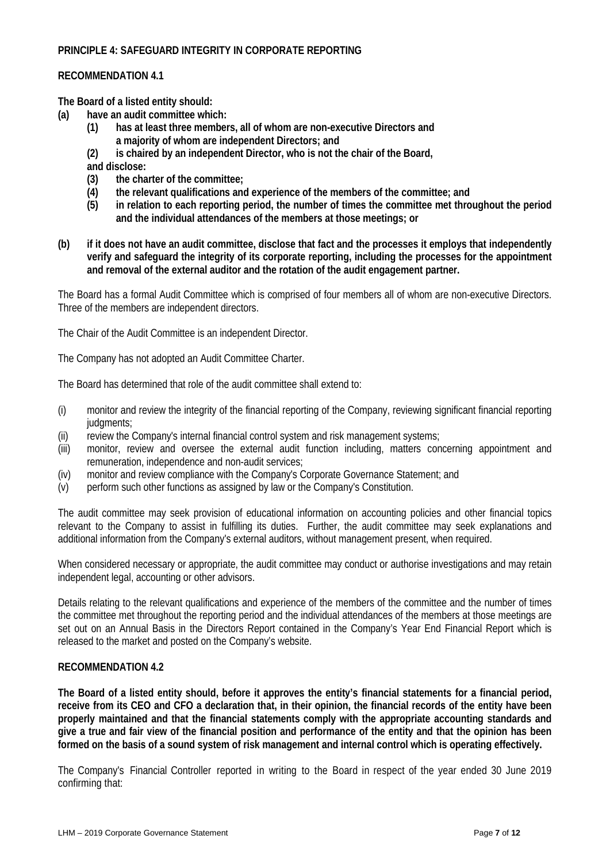# **PRINCIPLE 4: SAFEGUARD INTEGRITY IN CORPORATE REPORTING**

#### **RECOMMENDATION 4.1**

**The Board of a listed entity should:**

- **(a) have an audit committee which:**
	- **(1) has at least three members, all of whom are non-executive Directors and a majority of whom are independent Directors; and**
	- **(2) is chaired by an independent Director, who is not the chair of the Board, and disclose:**
	- **(3) the charter of the committee;**
	- **(4) the relevant qualifications and experience of the members of the committee; and**
	- **(5) in relation to each reporting period, the number of times the committee met throughout the period and the individual attendances of the members at those meetings; or**
- **(b) if it does not have an audit committee, disclose that fact and the processes it employs that independently verify and safeguard the integrity of its corporate reporting, including the processes for the appointment and removal of the external auditor and the rotation of the audit engagement partner.**

The Board has a formal Audit Committee which is comprised of four members all of whom are non-executive Directors. Three of the members are independent directors.

The Chair of the Audit Committee is an independent Director.

The Company has not adopted an Audit Committee Charter.

The Board has determined that role of the audit committee shall extend to:

- (i) monitor and review the integrity of the financial reporting of the Company, reviewing significant financial reporting judgments;
- (ii) review the Company's internal financial control system and risk management systems;
- (iii) monitor, review and oversee the external audit function including, matters concerning appointment and remuneration, independence and non-audit services;
- (iv) monitor and review compliance with the Company's Corporate Governance Statement; and (v) perform such other functions as assigned by law or the Company's Constitution.
- perform such other functions as assigned by law or the Company's Constitution.

The audit committee may seek provision of educational information on accounting policies and other financial topics relevant to the Company to assist in fulfilling its duties. Further, the audit committee may seek explanations and additional information from the Company's external auditors, without management present, when required.

When considered necessary or appropriate, the audit committee may conduct or authorise investigations and may retain independent legal, accounting or other advisors.

Details relating to the relevant qualifications and experience of the members of the committee and the number of times the committee met throughout the reporting period and the individual attendances of the members at those meetings are set out on an Annual Basis in the Directors Report contained in the Company's Year End Financial Report which is released to the market and posted on the Company's website.

#### **RECOMMENDATION 4.2**

**The Board of a listed entity should, before it approves the entity's financial statements for a financial period, receive from its CEO and CFO a declaration that, in their opinion, the financial records of the entity have been properly maintained and that the financial statements comply with the appropriate accounting standards and give a true and fair view of the financial position and performance of the entity and that the opinion has been formed on the basis of a sound system of risk management and internal control which is operating effectively.**

The Company's Financial Controller reported in writing to the Board in respect of the year ended 30 June 2019 confirming that: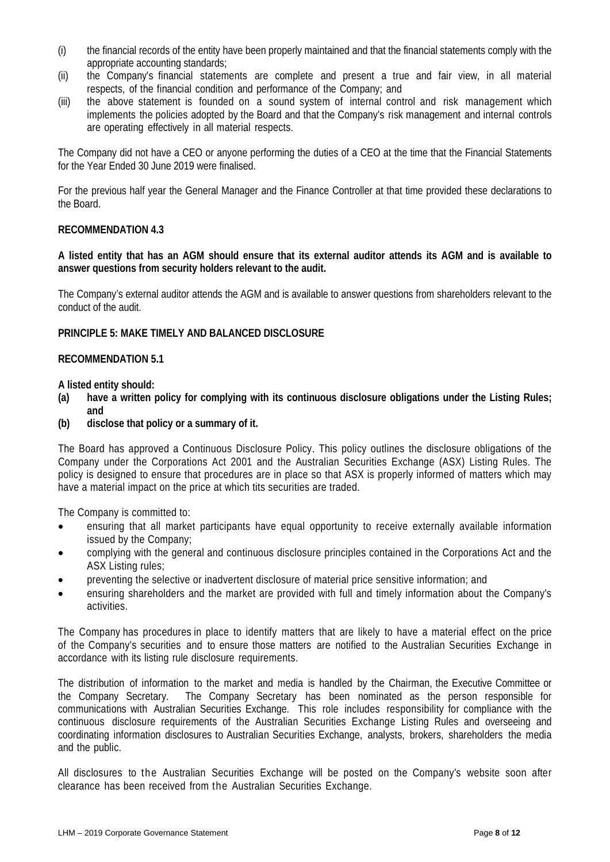- (i) the financial records of the entity have been properly maintained and that the financial statements comply with the appropriate accounting standards;
- (ii) the Company's financial statements are complete and present a true and fair view, in all material respects, of the financial condition and performance of the Company; and
- (iii) the above statement is founded on a sound system of internal control and risk management which implements the policies adopted by the Board and that the Company's risk management and internal controls are operating effectively in all material respects.

The Company did not have a CEO or anyone performing the duties of a CEO at the time that the Financial Statements for the Year Ended 30 June 2019 were finalised.

For the previous half year the General Manager and the Finance Controller at that time provided these declarations to the Board.

# **RECOMMENDATION 4.3**

**A listed entity that has an AGM should ensure that its external auditor attends its AGM and is available to answer questions from security holders relevant to the audit.**

The Company's external auditor attends the AGM and is available to answer questions from shareholders relevant to the conduct of the audit.

# **PRINCIPLE 5: MAKE TIMELY AND BALANCED DISCLOSURE**

# **RECOMMENDATION 5.1**

**A listed entity should:**

- **(a) have a written policy for complying with its continuous disclosure obligations under the Listing Rules; and**
- **(b) disclose that policy or a summary of it.**

The Board has approved a Continuous Disclosure Policy. This policy outlines the disclosure obligations of the Company under the Corporations Act 2001 and the Australian Securities Exchange (ASX) Listing Rules. The policy is designed to ensure that procedures are in place so that ASX is properly informed of matters which may have a material impact on the price at which tits securities are traded.

The Company is committed to:

- ensuring that all market participants have equal opportunity to receive externally available information issued by the Company;
- complying with the general and continuous disclosure principles contained in the Corporations Act and the ASX Listing rules;
- preventing the selective or inadvertent disclosure of material price sensitive information; and
- ensuring shareholders and the market are provided with full and timely information about the Company's activities.

The Company has procedures in place to identify matters that are likely to have a material effect on the price of the Company's securities and to ensure those matters are notified to the Australian Securities Exchange in accordance with its listing rule disclosure requirements.

The distribution of information to the market and media is handled by the Chairman, the Executive Committee or the Company Secretary. The Company Secretary has been nominated as the person responsible for communications with Australian Securities Exchange. This role includes responsibility for compliance with the continuous disclosure requirements of the Australian Securities Exchange Listing Rules and overseeing and coordinating information disclosures to Australian Securities Exchange, analysts, brokers, shareholders the media and the public.

All disclosures to the Australian Securities Exchange will be posted on the Company's website soon after clearance has been received from the Australian Securities Exchange.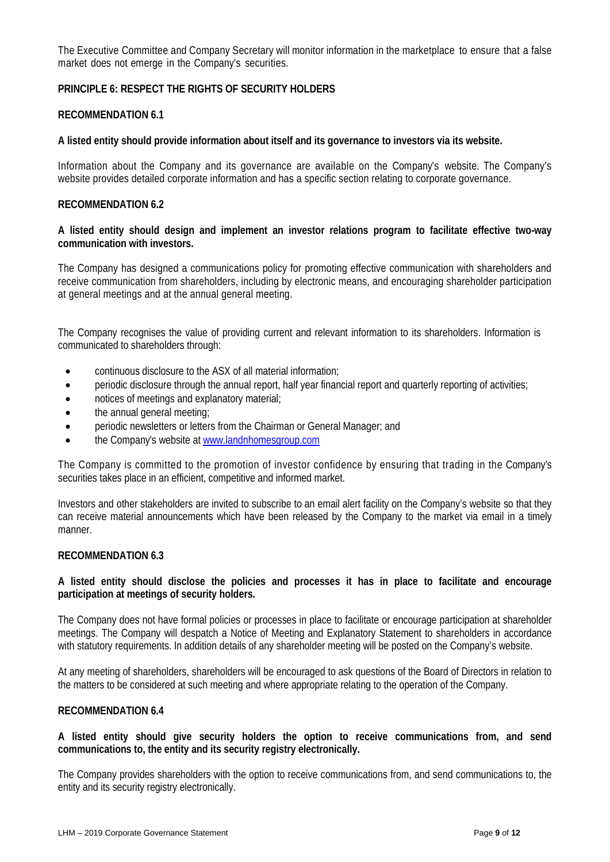The Executive Committee and Company Secretary will monitor information in the marketplace to ensure that a false market does not emerge in the Company's securities.

# **PRINCIPLE 6: RESPECT THE RIGHTS OF SECURITY HOLDERS**

#### **RECOMMENDATION 6.1**

#### **A listed entity should provide information about itself and its governance to investors via its website.**

Information about the Company and its governance are available on the Company's website. The Company's website provides detailed corporate information and has a specific section relating to corporate governance.

#### **RECOMMENDATION 6.2**

#### **A listed entity should design and implement an investor relations program to facilitate effective two-way communication with investors.**

The Company has designed a communications policy for promoting effective communication with shareholders and receive communication from shareholders, including by electronic means, and encouraging shareholder participation at general meetings and at the annual general meeting.

The Company recognises the value of providing current and relevant information to its shareholders. Information is communicated to shareholders through:

- continuous disclosure to the ASX of all material information;
- periodic disclosure through the annual report, half year financial report and quarterly reporting of activities;
- notices of meetings and explanatory material;
- the annual general meeting;
- periodic newsletters or letters from the Chairman or General Manager; and
- the Company's website at [www.landnhomesgroup.com](http://www.landnhomesgroup.com/)

The Company is committed to the promotion of investor confidence by ensuring that trading in the Company's securities takes place in an efficient, competitive and informed market.

Investors and other stakeholders are invited to subscribe to an email alert facility on the Company's website so that they can receive material announcements which have been released by the Company to the market via email in a timely manner.

# **RECOMMENDATION 6.3**

# **A listed entity should disclose the policies and processes it has in place to facilitate and encourage participation at meetings of security holders.**

The Company does not have formal policies or processes in place to facilitate or encourage participation at shareholder meetings. The Company will despatch a Notice of Meeting and Explanatory Statement to shareholders in accordance with statutory requirements. In addition details of any shareholder meeting will be posted on the Company's website.

At any meeting of shareholders, shareholders will be encouraged to ask questions of the Board of Directors in relation to the matters to be considered at such meeting and where appropriate relating to the operation of the Company.

# **RECOMMENDATION 6.4**

**A listed entity should give security holders the option to receive communications from, and send communications to, the entity and its security registry electronically.**

The Company provides shareholders with the option to receive communications from, and send communications to, the entity and its security registry electronically.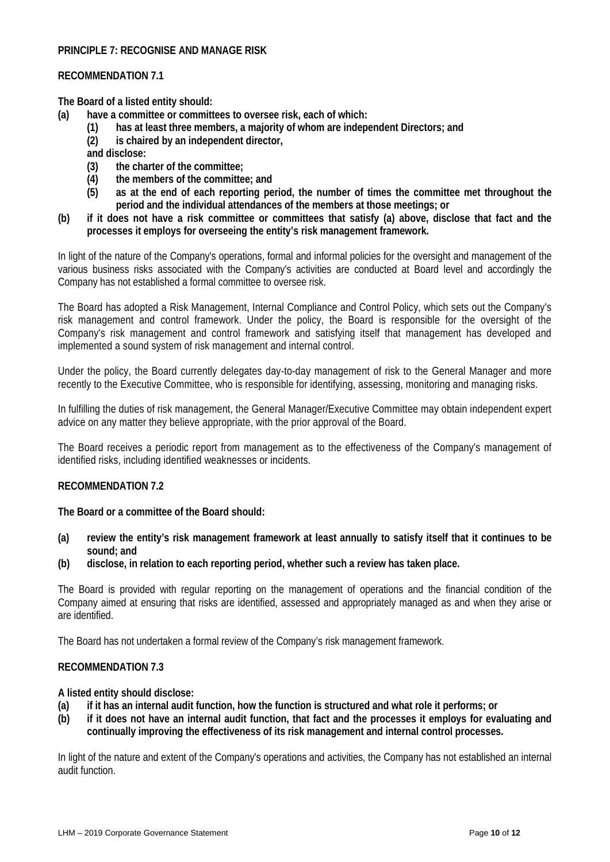# **PRINCIPLE 7: RECOGNISE AND MANAGE RISK**

#### **RECOMMENDATION 7.1**

**The Board of a listed entity should:**

- **(a) have a committee or committees to oversee risk, each of which:**
	- **(1) has at least three members, a majority of whom are independent Directors; and**
	- **(2) is chaired by an independent director,**

**and disclose:**

- **(3) the charter of the committee;**
- **(4) the members of the committee; and**
- **(5) as at the end of each reporting period, the number of times the committee met throughout the period and the individual attendances of the members at those meetings; or**
- **(b) if it does not have a risk committee or committees that satisfy (a) above, disclose that fact and the processes it employs for overseeing the entity's risk management framework.**

In light of the nature of the Company's operations, formal and informal policies for the oversight and management of the various business risks associated with the Company's activities are conducted at Board level and accordingly the Company has not established a formal committee to oversee risk.

The Board has adopted a Risk Management, Internal Compliance and Control Policy, which sets out the Company's risk management and control framework. Under the policy, the Board is responsible for the oversight of the Company's risk management and control framework and satisfying itself that management has developed and implemented a sound system of risk management and internal control.

Under the policy, the Board currently delegates day-to-day management of risk to the General Manager and more recently to the Executive Committee, who is responsible for identifying, assessing, monitoring and managing risks.

In fulfilling the duties of risk management, the General Manager/Executive Committee may obtain independent expert advice on any matter they believe appropriate, with the prior approval of the Board.

The Board receives a periodic report from management as to the effectiveness of the Company's management of identified risks, including identified weaknesses or incidents.

#### **RECOMMENDATION 7.2**

**The Board or a committee of the Board should:**

- **(a) review the entity's risk management framework at least annually to satisfy itself that it continues to be sound; and**
- **(b) disclose, in relation to each reporting period, whether such a review has taken place.**

The Board is provided with regular reporting on the management of operations and the financial condition of the Company aimed at ensuring that risks are identified, assessed and appropriately managed as and when they arise or are identified.

The Board has not undertaken a formal review of the Company's risk management framework.

#### **RECOMMENDATION 7.3**

**A listed entity should disclose:**

- **(a) if it has an internal audit function, how the function is structured and what role it performs; or**
- **(b) if it does not have an internal audit function, that fact and the processes it employs for evaluating and continually improving the effectiveness of its risk management and internal control processes.**

In light of the nature and extent of the Company's operations and activities, the Company has not established an internal audit function.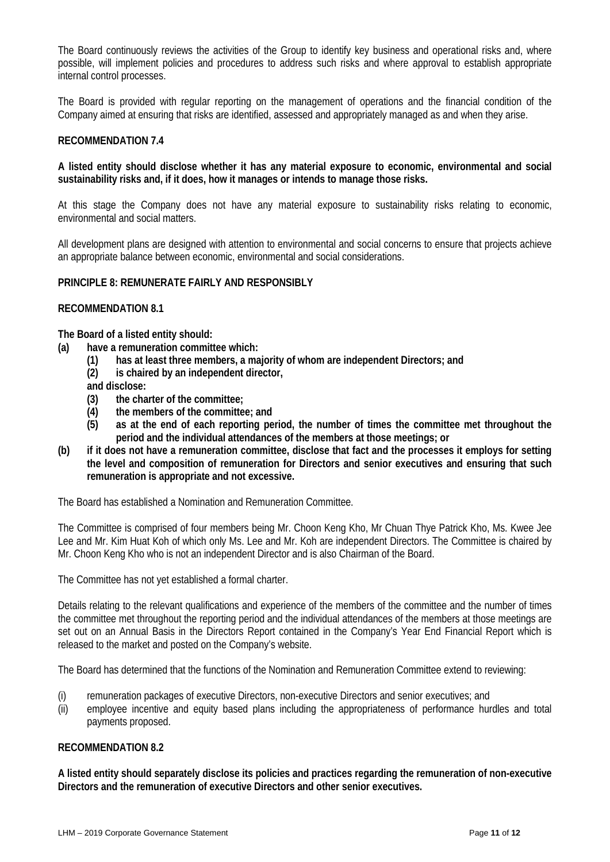The Board continuously reviews the activities of the Group to identify key business and operational risks and, where possible, will implement policies and procedures to address such risks and where approval to establish appropriate internal control processes.

The Board is provided with regular reporting on the management of operations and the financial condition of the Company aimed at ensuring that risks are identified, assessed and appropriately managed as and when they arise.

#### **RECOMMENDATION 7.4**

# **A listed entity should disclose whether it has any material exposure to economic, environmental and social sustainability risks and, if it does, how it manages or intends to manage those risks.**

At this stage the Company does not have any material exposure to sustainability risks relating to economic, environmental and social matters.

All development plans are designed with attention to environmental and social concerns to ensure that projects achieve an appropriate balance between economic, environmental and social considerations.

#### **PRINCIPLE 8: REMUNERATE FAIRLY AND RESPONSIBLY**

# **RECOMMENDATION 8.1**

**The Board of a listed entity should:**

- **(a) have a remuneration committee which:**
	- **(1) has at least three members, a majority of whom are independent Directors; and**
	- **(2) is chaired by an independent director,**
	- **and disclose:**
	- **(3) the charter of the committee;**
	- **(4) the members of the committee; and**
	- **(5) as at the end of each reporting period, the number of times the committee met throughout the period and the individual attendances of the members at those meetings; or**
- **(b) if it does not have a remuneration committee, disclose that fact and the processes it employs for setting the level and composition of remuneration for Directors and senior executives and ensuring that such remuneration is appropriate and not excessive.**

The Board has established a Nomination and Remuneration Committee.

The Committee is comprised of four members being Mr. Choon Keng Kho, Mr Chuan Thye Patrick Kho, Ms. Kwee Jee Lee and Mr. Kim Huat Koh of which only Ms. Lee and Mr. Koh are independent Directors. The Committee is chaired by Mr. Choon Keng Kho who is not an independent Director and is also Chairman of the Board.

The Committee has not yet established a formal charter.

Details relating to the relevant qualifications and experience of the members of the committee and the number of times the committee met throughout the reporting period and the individual attendances of the members at those meetings are set out on an Annual Basis in the Directors Report contained in the Company's Year End Financial Report which is released to the market and posted on the Company's website.

The Board has determined that the functions of the Nomination and Remuneration Committee extend to reviewing:

- (i) remuneration packages of executive Directors, non-executive Directors and senior executives; and
- (ii) employee incentive and equity based plans including the appropriateness of performance hurdles and total payments proposed.

#### **RECOMMENDATION 8.2**

**A listed entity should separately disclose its policies and practices regarding the remuneration of non-executive Directors and the remuneration of executive Directors and other senior executives.**